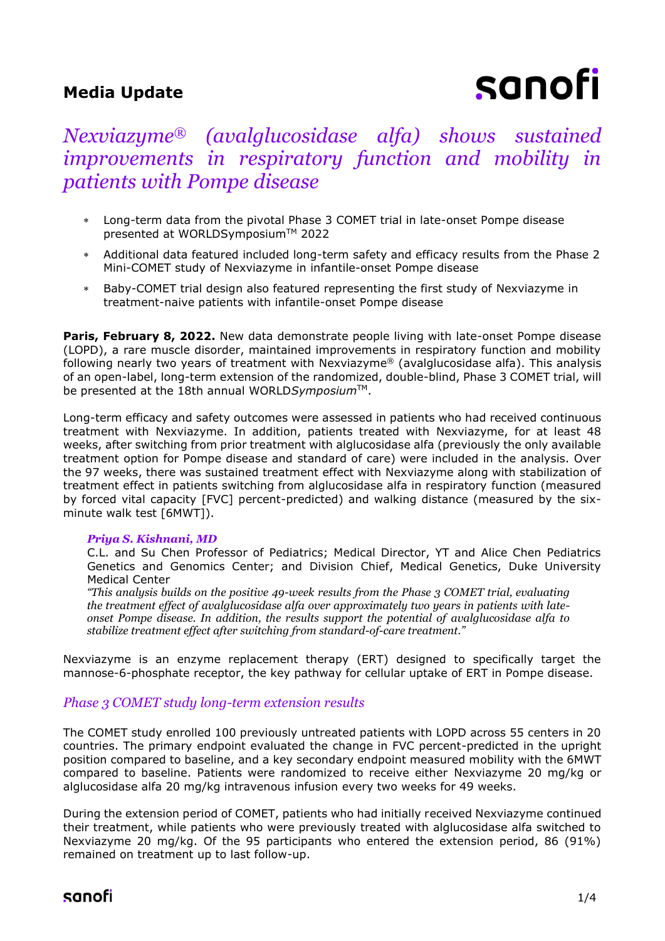# **Media Update**

# sanofi

# *Nexviazyme® (avalglucosidase alfa) shows sustained improvements in respiratory function and mobility in patients with Pompe disease*

- Long-term data from the pivotal Phase 3 COMET trial in late-onset Pompe disease presented at WORLDSymposium™ 2022
- Additional data featured included long-term safety and efficacy results from the Phase 2 Mini-COMET study of Nexviazyme in infantile-onset Pompe disease
- Baby-COMET trial design also featured representing the first study of Nexviazyme in treatment-naive patients with infantile-onset Pompe disease

Paris, February 8, 2022. New data demonstrate people living with late-onset Pompe disease (LOPD), a rare muscle disorder, maintained improvements in respiratory function and mobility following nearly two years of treatment with Nexviazyme® (avalglucosidase alfa). This analysis of an open-label, long-term extension of the randomized, double-blind, Phase 3 COMET trial, will be presented at the 18th annual WORLD*Symposium*TM.

Long-term efficacy and safety outcomes were assessed in patients who had received continuous treatment with Nexviazyme. In addition, patients treated with Nexviazyme, for at least 48 weeks, after switching from prior treatment with alglucosidase alfa (previously the only available treatment option for Pompe disease and standard of care) were included in the analysis. Over the 97 weeks, there was sustained treatment effect with Nexviazyme along with stabilization of treatment effect in patients switching from alglucosidase alfa in respiratory function (measured by forced vital capacity [FVC] percent-predicted) and walking distance (measured by the sixminute walk test [6MWT]).

## *Priya S. Kishnani, MD*

C.L. and Su Chen Professor of Pediatrics; Medical Director, YT and Alice Chen Pediatrics Genetics and Genomics Center; and Division Chief, Medical Genetics, Duke University Medical Center

*"This analysis builds on the positive 49-week results from the Phase 3 COMET trial, evaluating the treatment effect of avalglucosidase alfa over approximately two years in patients with lateonset Pompe disease. In addition, the results support the potential of avalglucosidase alfa to stabilize treatment effect after switching from standard-of-care treatment."*

Nexviazyme is an enzyme replacement therapy (ERT) designed to specifically target the mannose-6-phosphate receptor, the key pathway for cellular uptake of ERT in Pompe disease.

# *Phase 3 COMET study long-term extension results*

The COMET study enrolled 100 previously untreated patients with LOPD across 55 centers in 20 countries. The primary endpoint evaluated the change in FVC percent-predicted in the upright position compared to baseline, and a key secondary endpoint measured mobility with the 6MWT compared to baseline. Patients were randomized to receive either Nexviazyme 20 mg/kg or alglucosidase alfa 20 mg/kg intravenous infusion every two weeks for 49 weeks.

During the extension period of COMET, patients who had initially received Nexviazyme continued their treatment, while patients who were previously treated with alglucosidase alfa switched to Nexviazyme 20 mg/kg. Of the 95 participants who entered the extension period, 86 (91%) remained on treatment up to last follow-up.

# sanofi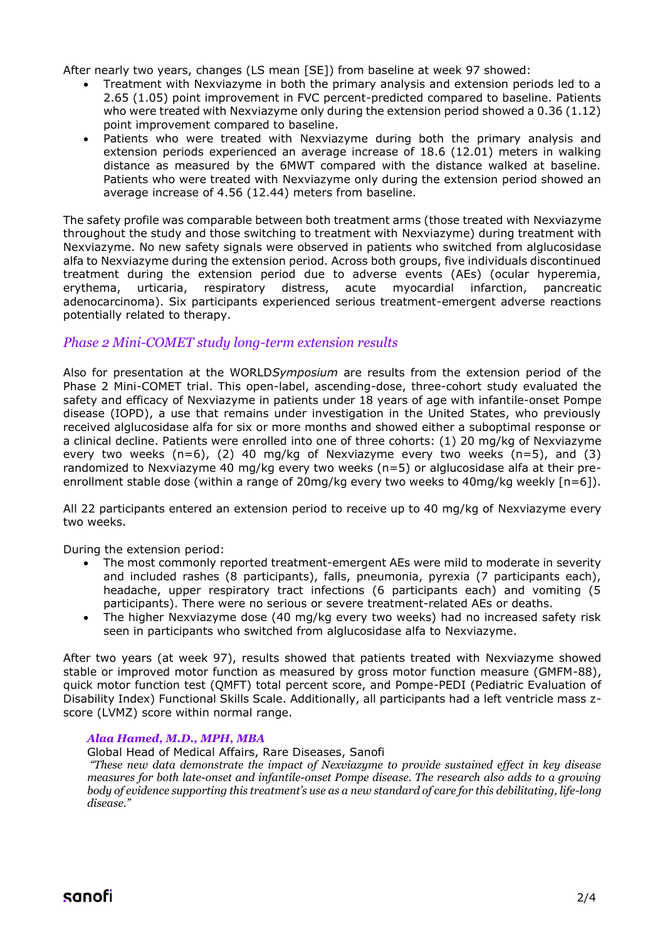After nearly two years, changes (LS mean [SE]) from baseline at week 97 showed:

- Treatment with Nexviazyme in both the primary analysis and extension periods led to a 2.65 (1.05) point improvement in FVC percent-predicted compared to baseline. Patients who were treated with Nexviazyme only during the extension period showed a 0.36 (1.12) point improvement compared to baseline.
- Patients who were treated with Nexviazyme during both the primary analysis and extension periods experienced an average increase of 18.6 (12.01) meters in walking distance as measured by the 6MWT compared with the distance walked at baseline. Patients who were treated with Nexviazyme only during the extension period showed an average increase of 4.56 (12.44) meters from baseline.

The safety profile was comparable between both treatment arms (those treated with Nexviazyme throughout the study and those switching to treatment with Nexviazyme) during treatment with Nexviazyme. No new safety signals were observed in patients who switched from alglucosidase alfa to Nexviazyme during the extension period. Across both groups, five individuals discontinued treatment during the extension period due to adverse events (AEs) (ocular hyperemia, erythema, urticaria, respiratory distress, acute myocardial infarction, pancreatic adenocarcinoma). Six participants experienced serious treatment-emergent adverse reactions potentially related to therapy.

# *Phase 2 Mini-COMET study long-term extension results*

Also for presentation at the WORLD*Symposium* are results from the extension period of the Phase 2 Mini-COMET trial. This open-label, ascending-dose, three-cohort study evaluated the safety and efficacy of Nexviazyme in patients under 18 years of age with infantile-onset Pompe disease (IOPD), a use that remains under investigation in the United States, who previously received alglucosidase alfa for six or more months and showed either a suboptimal response or a clinical decline. Patients were enrolled into one of three cohorts: (1) 20 mg/kg of Nexviazyme every two weeks  $(n=6)$ , (2) 40 mg/kg of Nexviazyme every two weeks  $(n=5)$ , and (3) randomized to Nexviazyme 40 mg/kg every two weeks (n=5) or alglucosidase alfa at their preenrollment stable dose (within a range of 20mg/kg every two weeks to 40mg/kg weekly [n=6]).

All 22 participants entered an extension period to receive up to 40 mg/kg of Nexviazyme every two weeks.

During the extension period:

- The most commonly reported treatment-emergent AEs were mild to moderate in severity and included rashes (8 participants), falls, pneumonia, pyrexia (7 participants each), headache, upper respiratory tract infections (6 participants each) and vomiting (5 participants). There were no serious or severe treatment-related AEs or deaths.
- The higher Nexviazyme dose (40 mg/kg every two weeks) had no increased safety risk seen in participants who switched from alglucosidase alfa to Nexviazyme.

After two years (at week 97), results showed that patients treated with Nexviazyme showed stable or improved motor function as measured by gross motor function measure (GMFM-88), quick motor function test (QMFT) total percent score, and Pompe-PEDI (Pediatric Evaluation of Disability Index) Functional Skills Scale. Additionally, all participants had a left ventricle mass zscore (LVMZ) score within normal range.

## *Alaa Hamed, M.D., MPH, MBA*

Global Head of Medical Affairs, Rare Diseases, Sanofi

*"These new data demonstrate the impact of Nexviazyme to provide sustained effect in key disease measures for both late-onset and infantile-onset Pompe disease. The research also adds to a growing body of evidence supporting this treatment's use as a new standard of care for this debilitating, life-long disease."*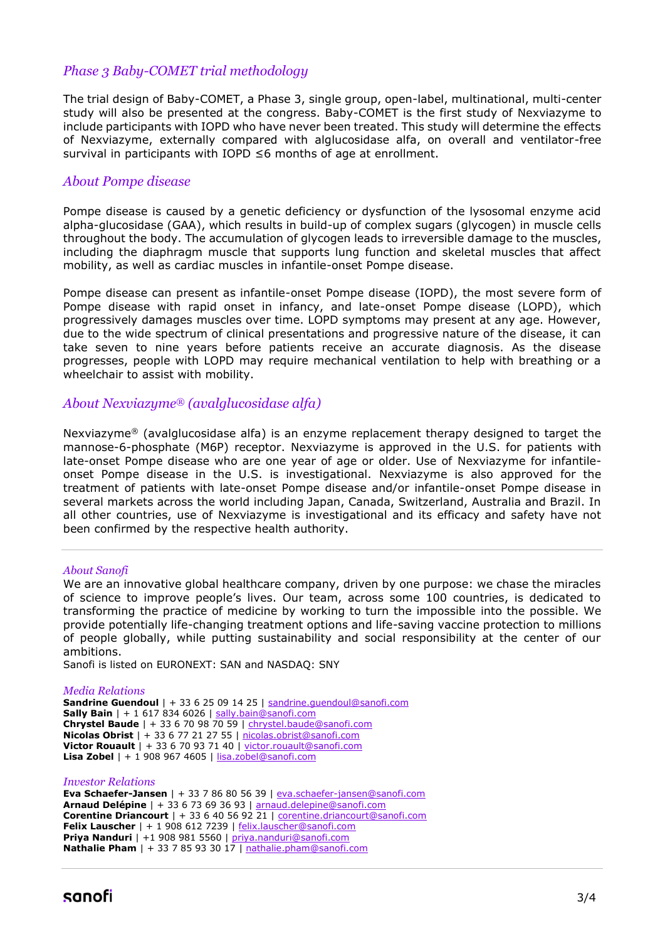# *Phase 3 Baby-COMET trial methodology*

The trial design of Baby-COMET, a Phase 3, single group, open-label, multinational, multi-center study will also be presented at the congress. Baby-COMET is the first study of Nexviazyme to include participants with IOPD who have never been treated. This study will determine the effects of Nexviazyme, externally compared with alglucosidase alfa, on overall and ventilator-free survival in participants with IOPD ≤6 months of age at enrollment.

# *About Pompe disease*

Pompe disease is caused by a genetic deficiency or dysfunction of the lysosomal enzyme acid alpha-glucosidase (GAA), which results in build-up of complex sugars (glycogen) in muscle cells throughout the body. The accumulation of glycogen leads to irreversible damage to the muscles, including the diaphragm muscle that supports lung function and skeletal muscles that affect mobility, as well as cardiac muscles in infantile-onset Pompe disease.

Pompe disease can present as infantile-onset Pompe disease (IOPD), the most severe form of Pompe disease with rapid onset in infancy, and late-onset Pompe disease (LOPD), which progressively damages muscles over time. LOPD symptoms may present at any age. However, due to the wide spectrum of clinical presentations and progressive nature of the disease, it can take seven to nine years before patients receive an accurate diagnosis. As the disease progresses, people with LOPD may require mechanical ventilation to help with breathing or a wheelchair to assist with mobility.

# *About Nexviazyme® (avalglucosidase alfa)*

Nexviazyme® (avalglucosidase alfa) is an enzyme replacement therapy designed to target the mannose-6-phosphate (M6P) receptor. Nexviazyme is approved in the U.S. for patients with late-onset Pompe disease who are one year of age or older. Use of Nexviazyme for infantileonset Pompe disease in the U.S. is investigational. Nexviazyme is also approved for the treatment of patients with late-onset Pompe disease and/or infantile-onset Pompe disease in several markets across the world including Japan, Canada, Switzerland, Australia and Brazil. In all other countries, use of Nexviazyme is investigational and its efficacy and safety have not been confirmed by the respective health authority.

#### *About Sanofi*

We are an innovative global healthcare company, driven by one purpose: we chase the miracles of science to improve people's lives. Our team, across some 100 countries, is dedicated to transforming the practice of medicine by working to turn the impossible into the possible. We provide potentially life-changing treatment options and life-saving vaccine protection to millions of people globally, while putting sustainability and social responsibility at the center of our ambitions.

Sanofi is listed on EURONEXT: SAN and NASDAQ: SNY

#### *Media Relations*

```
Sandrine Guendoul | + 33 6 25 09 14 25 | sandrine.guendoul@sanofi.com
Sally Bainsally.bain@sanofi.com
Chrystel Baude | + 33 6 70 98 70 59 | chrystel.baude@sanofi.com
Nicolas Obrist | + 33 6 77 21 27 55 | nicolas.obrist@sanofi.com
Victor Rouault | + 33 6 70 93 71 40 | victor.rouault@sanofi.com
Lisa Zobel | + 1 908 967 4605 | lisa.zobel@sanofi.com
```
#### *Investor Relations*

```
Eva Schaefer-Jansen | + 33 7 86 80 56 39 | eva.schaefer-jansen@sanofi.com
Arnaud Delépine | + 33 6 73 69 36 93 | arnaud.delepine@sanofi.com
Corentine Driancourt | + 33 6 40 56 92 21 | corentine.driancourt@sanofi.com
Felix Lauscher felix.lauscher@sanofi.com
Priya Nanduri | +1 908 981 5560 | priya.nanduri@sanofi.com
Nathalie Pham nathalie.pham@sanofi.com
```
# sanofi